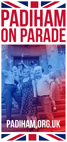# **PADIHAM ON PARADE**

# **PADIHAM.ORG.UK**

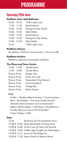## **PROGRAMME**

#### **Saturday 25th June**

#### **Padiham Town Hall Ballroom**

| 10.00 - 10.45 | 1940's style music    |
|---------------|-----------------------|
| 11.00 - 11.30 | Rachel Mercer         |
| 12.00 - 12.30 | George Formby Tribute |
| 13.00 - 13.30 | Kelly Waldie          |
| 14.00 - 14.40 | Rachel Mercer         |
| 15.00 - 15.30 | George Formby Tribute |
| 16.00 - 16.30 | Kelly Waldie          |
| 16.45         | 1940's style music    |

#### **Padiham Library**

Storytelling • Wartime memory boxes • Arts and crafts

#### **Padiham Archive**

Padiham's past and memorabilia exhibition

#### **The Plaza and Town Centre**

| 13.30 - 14.00        | Ukulele Band            |
|----------------------|-------------------------|
| 14.30 - 15.00        | Ukulele Band            |
| <b>Various Times</b> | Dapper Dan              |
| <b>Various Times</b> | Punch and Judy          |
| Various Times        | Rossendale Clog Dancers |
| <b>Various Times</b> | Drumming Band           |
| <b>Various Times</b> | Vintage Bus             |
| <b>Various Times</b> | Merlin Engine           |

#### **PLUS**

Funfair • Shooters Alley & Archery • Candy bomber • Talon - Bird Display • Hurricane Model Aircraft • Interactive demonstrations and re-enactments • Military Vehicle display • Café Rene in the Ballroom • The Ritz Afternoon Tea at The Fat Giraffe • Tractor Display • Stalls

#### **Pubs**

| 13.45 | Stevie Kay @ Free Gardeners Arms                  |
|-------|---------------------------------------------------|
|       | 13.00 & 14.00 Maria Manchester @ Kings Arms       |
|       | 14.00 & 15.00 Lili De Carlo @ Hare and Hounds     |
|       | 14.00 & 15.00 Golden Age Songbird @ Molly Rigby's |
|       | 15.00 & 16.15 Janine @ The Bridge Inn             |
|       | 16.00 & 17.30 Karen Howell @ Boyce's Barrel       |
|       |                                                   |